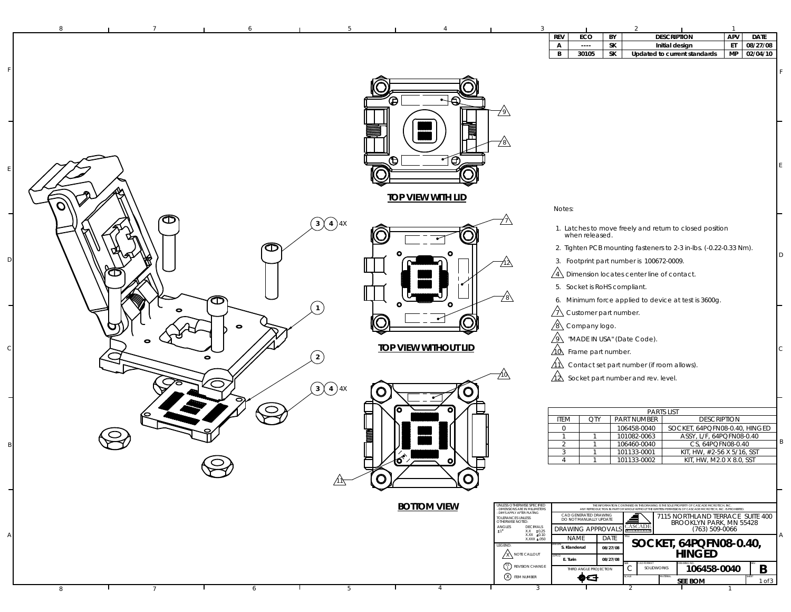| <b>REV</b> | ECO       | BY | <b>DESCRIPTION</b>                             | <b>APV</b> | <b>DATE</b> |          |
|------------|-----------|----|------------------------------------------------|------------|-------------|----------|
| А          | $- - - -$ | SΚ | Initial design<br>Updated to current standards |            | ET          | 08/27/08 |
| B          | 30105     | SΚ |                                                |            | <b>MP</b>   | 02/04/10 |
|            |           |    |                                                |            |             |          |

|                                                           | ⊕<br>⊕            | - 6<br>È.<br><u>්ර</u>      | <u> 79)</u><br>78\                                                                                                                   |                                                                                                                                                                                                                                                                                              |
|-----------------------------------------------------------|-------------------|-----------------------------|--------------------------------------------------------------------------------------------------------------------------------------|----------------------------------------------------------------------------------------------------------------------------------------------------------------------------------------------------------------------------------------------------------------------------------------------|
|                                                           |                   | <b>TOP VIEW WITH LID</b>    |                                                                                                                                      | Notes:                                                                                                                                                                                                                                                                                       |
| $\bm{\mathsf \Phi}$<br>$\bigodot$ 4 $\bigodot$ 4 $\times$ |                   |                             |                                                                                                                                      | 1. Latches to move freely and return to closed position                                                                                                                                                                                                                                      |
| 本                                                         |                   |                             |                                                                                                                                      | when released.<br>2. Tighten PCB mounting fasteners to 2-3 in-lbs. (-0.22-0.33 Nm).                                                                                                                                                                                                          |
|                                                           |                   |                             | 712\                                                                                                                                 | 3. Footprint part number is 100672-0009.                                                                                                                                                                                                                                                     |
| Œ                                                         |                   |                             |                                                                                                                                      | $\sqrt{4}$ Dimension locates center line of contact.                                                                                                                                                                                                                                         |
|                                                           |                   |                             | <u>78\</u>                                                                                                                           | 5. Socket is RoHS compliant.                                                                                                                                                                                                                                                                 |
| œ<br>$\mathbf{1}$<br>0                                    |                   |                             |                                                                                                                                      | 6. Minimum force applied to device at test is 3600g.<br>$\sqrt{1}$ Customer part number.                                                                                                                                                                                                     |
| 0                                                         |                   |                             |                                                                                                                                      | $\sqrt{8}$ Company logo.                                                                                                                                                                                                                                                                     |
| 0                                                         |                   | <b>TOP VIEW WITHOUT LID</b> |                                                                                                                                      | $\sqrt{9}$ "MADE IN USA" (Date Code).                                                                                                                                                                                                                                                        |
| $\overline{2}$<br>$\bullet$                               |                   |                             |                                                                                                                                      | 10 Frame part number.<br>$\sqrt{11}$ Contact set part number (if room allows).                                                                                                                                                                                                               |
|                                                           |                   |                             | 710\                                                                                                                                 | $\sqrt{\underline{\lambda}}$ Socket part number and rev. level.                                                                                                                                                                                                                              |
| $\bigcirc$ $\bigcirc$                                     | 4X<br>$\mathbf O$ | O                           |                                                                                                                                      |                                                                                                                                                                                                                                                                                              |
| $\subset$                                                 |                   |                             |                                                                                                                                      | <b>PARTS LIST</b>                                                                                                                                                                                                                                                                            |
|                                                           |                   |                             |                                                                                                                                      | <b>PART NUMBER</b><br><b>ITEM</b><br><b>DESCRIPTION</b><br>QTY<br>SOCKET, 64PQFN08-0.40, HINGED<br>$\mathsf{O}\xspace$<br>106458-0040                                                                                                                                                        |
|                                                           | <b>The Second</b> |                             |                                                                                                                                      | ASSY, L/F, 64PQFN08-0.40<br>$\mathbf{1}$<br>101082-0063<br>$\overline{1}$<br>CS, 64PQFN08-0.40<br>2<br>106460-0040<br>-1                                                                                                                                                                     |
|                                                           |                   | $\bullet$                   |                                                                                                                                      | KIT, HW, #2-56 X 5/16, SST<br>101133-0001<br>3<br>$\overline{1}$<br>KIT, HW, M2.0 X 8.0, SST<br>101133-0002<br>$\overline{4}$<br>$\overline{1}$                                                                                                                                              |
| ∕11∖                                                      | $\mathbf O$       | O                           |                                                                                                                                      |                                                                                                                                                                                                                                                                                              |
|                                                           |                   |                             |                                                                                                                                      |                                                                                                                                                                                                                                                                                              |
|                                                           |                   | <b>BOTTOM VIEW</b>          | UNLESS OTHERWISE SPECIFIED<br>- DIMENSIONS ARE IN MILLIMETERS<br>- DIMS APPLY AFTER PLATING<br>TOLERANCES UNLESS<br>OTHERWISE NOTED: | THE INFORMATION CONTAINED IN THIS DRAWING IS THE SOLE PROPERTY OF CASCADE MICROTECH, INC.<br>ANY REPRODUCTION IN PART OR WHOLE WITHOUT THE WRITEN PERMISSION OF CASCADE MICROTECH, INC. IS PROHIBITED<br>CAD GENERATED DRAWING<br>7115 NORTHLAND TERRACE SUITE 400<br>DO NOT MANUALLY UPDATE |
|                                                           |                   |                             | $ANGLES$<br>$\pm 1$<br>DECIMALS<br>$\begin{array}{cc} X.X & \pm 0.25 \\ X.XX & \pm 0.10 \end{array}$                                 | CASCADE<br>BROOKLYN PARK, MN 55428<br><b>DRAWING APPROVALS</b><br>(763) 509-0066                                                                                                                                                                                                             |
|                                                           |                   |                             | XXXX ±.050<br>LEGEND<br><b>X</b> NOTE CALLOUT                                                                                        | <b>NAME</b><br>DATE<br>SOCKET, 64PQFN08-0.40,<br>S. Klanderud<br>08/27/08<br><b>HINGED</b>                                                                                                                                                                                                   |
|                                                           |                   |                             | $\begin{pmatrix} 01 \\ 1 \end{pmatrix}$ REVISION CHANGE                                                                              | E. Turin<br>08/27/08<br>106458-0040<br>B<br>С<br>SOLIDWORKS<br>THIRD ANGLE PROJECTION                                                                                                                                                                                                        |
| 6<br>8<br>$7\overline{ }$<br>υ.                           | 5                 | $\overline{4}$              | X ITEM NUMBER<br>$\overline{3}$                                                                                                      | ФЭ<br>1 of 3<br><b>SEE BOM</b><br>ℸ<br>$\mathbf{1}$                                                                                                                                                                                                                                          |

7 6 5 4 3 2 1

8

F

E

D

C

B

A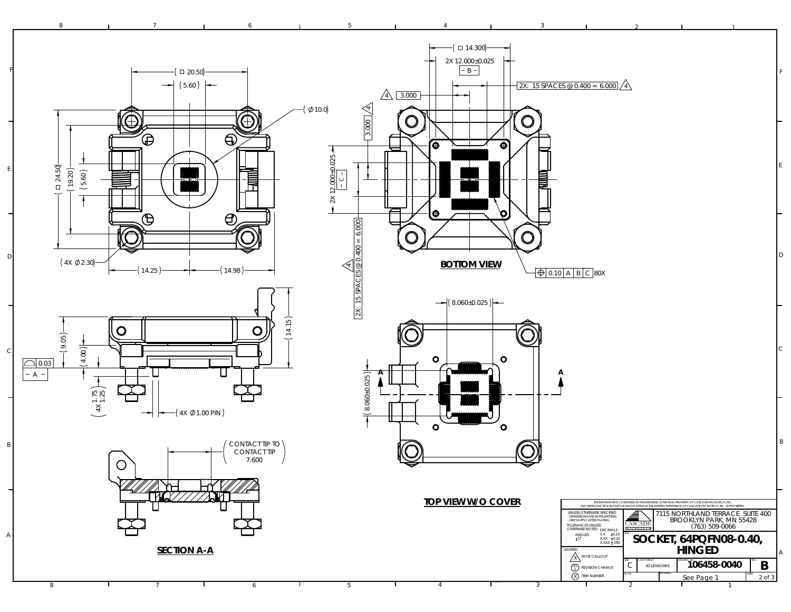